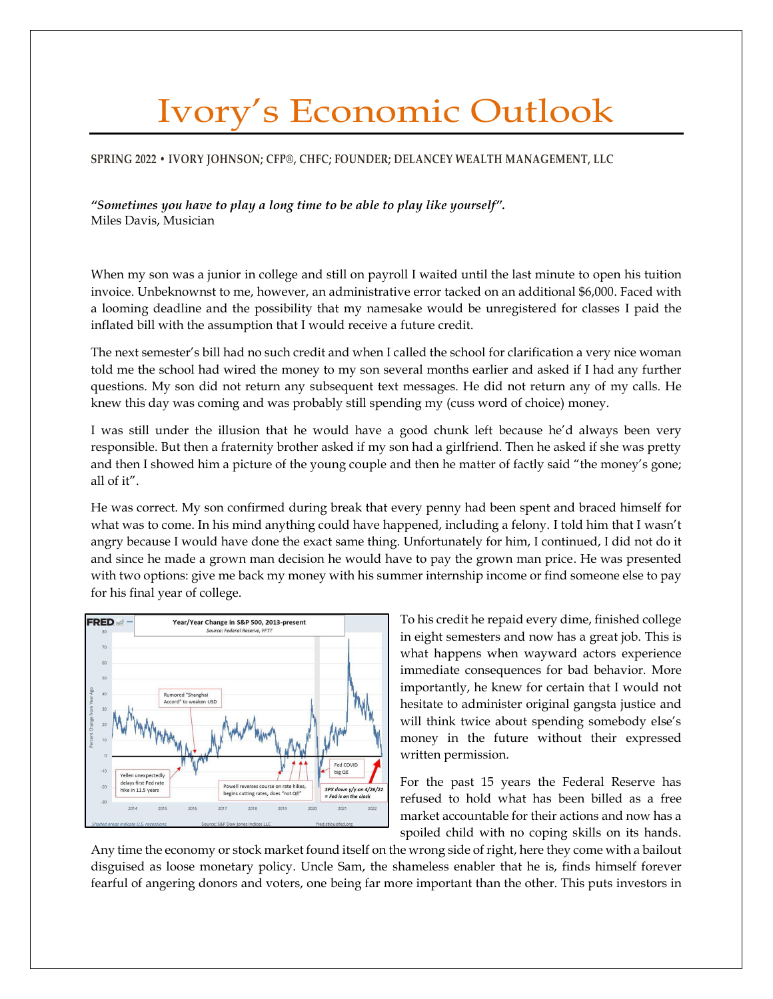## Ivory's Economic Outlook

## **SPRING 2022 • IVORY JOHNSON; CFP®, CHFC; FOUNDER; DELANCEY WEALTH MANAGEMENT, LLC**

*"Sometimes you have to play a long time to be able to play like yourself".* Miles Davis, Musician

When my son was a junior in college and still on payroll I waited until the last minute to open his tuition invoice. Unbeknownst to me, however, an administrative error tacked on an additional \$6,000. Faced with a looming deadline and the possibility that my namesake would be unregistered for classes I paid the inflated bill with the assumption that I would receive a future credit.

The next semester's bill had no such credit and when I called the school for clarification a very nice woman told me the school had wired the money to my son several months earlier and asked if I had any further questions. My son did not return any subsequent text messages. He did not return any of my calls. He knew this day was coming and was probably still spending my (cuss word of choice) money.

I was still under the illusion that he would have a good chunk left because he'd always been very responsible. But then a fraternity brother asked if my son had a girlfriend. Then he asked if she was pretty and then I showed him a picture of the young couple and then he matter of factly said "the money's gone; all of it".

He was correct. My son confirmed during break that every penny had been spent and braced himself for what was to come. In his mind anything could have happened, including a felony. I told him that I wasn't angry because I would have done the exact same thing. Unfortunately for him, I continued, I did not do it and since he made a grown man decision he would have to pay the grown man price. He was presented with two options: give me back my money with his summer internship income or find someone else to pay for his final year of college.



To his credit he repaid every dime, finished college in eight semesters and now has a great job. This is what happens when wayward actors experience immediate consequences for bad behavior. More importantly, he knew for certain that I would not hesitate to administer original gangsta justice and will think twice about spending somebody else's money in the future without their expressed written permission.

For the past 15 years the Federal Reserve has refused to hold what has been billed as a free market accountable for their actions and now has a spoiled child with no coping skills on its hands.

Any time the economy or stock market found itself on the wrong side of right, here they come with a bailout disguised as loose monetary policy. Uncle Sam, the shameless enabler that he is, finds himself forever fearful of angering donors and voters, one being far more important than the other. This puts investors in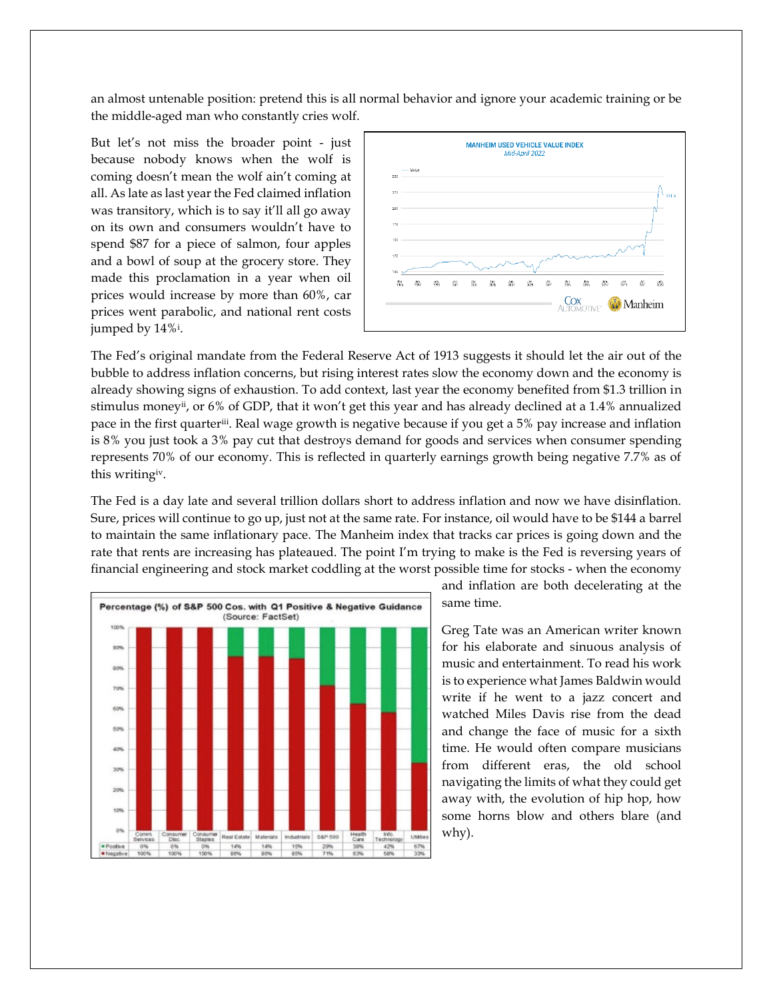an almost untenable position: pretend this is all normal behavior and ignore your academic training or be the middle-aged man who constantly cries wolf.

But let's not miss the broader point - just because nobody knows when the wolf is coming doesn't mean the wolf ain't coming at all. As late as last year the Fed claimed inflation was transitory, which is to say it'll all go away on its own and consumers wouldn't have to spend \$87 for a piece of salmon, four apples and a bowl of soup at the grocery store. They made this proclamation in a year when oil prices would increase by more than 60%, car prices went parabolic, and national rent costs jumped by 14%<sup>i</sup> .



The Fed's original mandate from the Federal Reserve Act of 1913 suggests it should let the air out of the bubble to address inflation concerns, but rising interest rates slow the economy down and the economy is already showing signs of exhaustion. To add context, last year the economy benefited from \$1.3 trillion in stimulus moneyii, or 6% of GDP, that it won't get this year and has already declined at a 1.4% annualized pace in the first quarteriii. Real wage growth is negative because if you get a 5% pay increase and inflation is 8% you just took a 3% pay cut that destroys demand for goods and services when consumer spending represents 70% of our economy. This is reflected in quarterly earnings growth being negative 7.7% as of this writingiv.

The Fed is a day late and several trillion dollars short to address inflation and now we have disinflation. Sure, prices will continue to go up, just not at the same rate. For instance, oil would have to be \$144 a barrel to maintain the same inflationary pace. The Manheim index that tracks car prices is going down and the rate that rents are increasing has plateaued. The point I'm trying to make is the Fed is reversing years of financial engineering and stock market coddling at the worst possible time for stocks - when the economy



and inflation are both decelerating at the same time.

Greg Tate was an American writer known for his elaborate and sinuous analysis of music and entertainment. To read his work is to experience what James Baldwin would write if he went to a jazz concert and watched Miles Davis rise from the dead and change the face of music for a sixth time. He would often compare musicians from different eras, the old school navigating the limits of what they could get away with, the evolution of hip hop, how some horns blow and others blare (and why).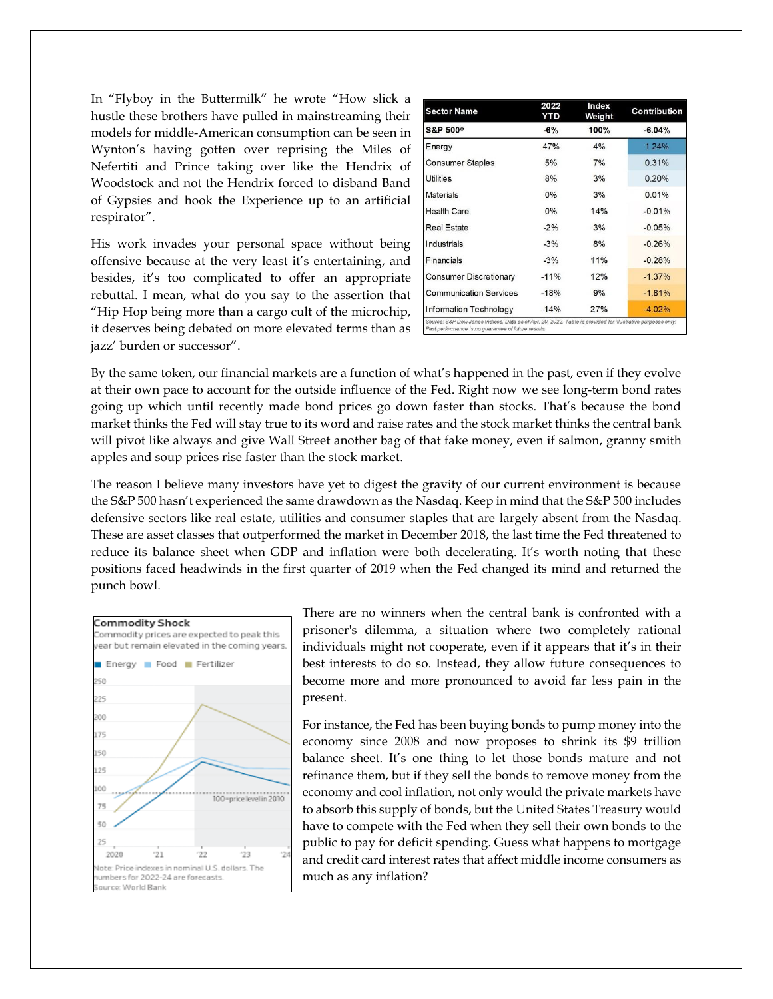In "Flyboy in the Buttermilk" he wrote "How slick a hustle these brothers have pulled in mainstreaming their models for middle-American consumption can be seen in Wynton's having gotten over reprising the Miles of Nefertiti and Prince taking over like the Hendrix of Woodstock and not the Hendrix forced to disband Band of Gypsies and hook the Experience up to an artificial respirator".

His work invades your personal space without being offensive because at the very least it's entertaining, and besides, it's too complicated to offer an appropriate rebuttal. I mean, what do you say to the assertion that "Hip Hop being more than a cargo cult of the microchip, it deserves being debated on more elevated terms than as jazz' burden or successor".

| <b>Sector Name</b>            | 2022<br>YTD | Index<br>Weight | <b>Contribution</b> |
|-------------------------------|-------------|-----------------|---------------------|
| S&P 500 <sup>®</sup>          | $-6%$       | 100%            | $-6.04%$            |
| Energy                        | 47%         | 4%              | 1.24%               |
| Consumer Staples              | 5%          | 7%              | 0.31%               |
| Utilities                     | 8%          | 3%              | 0.20%               |
| <b>Materials</b>              | $0\%$       | 3%              | 0.01%               |
| <b>Health Care</b>            | $0\%$       | 14%             | $-0.01%$            |
| <b>Real Estate</b>            | $-2%$       | 3%              | $-0.05%$            |
| Industrials                   | $-3%$       | 8%              | $-0.26%$            |
| Financials                    | $-3%$       | 11%             | $-0.28%$            |
| <b>Consumer Discretionary</b> | $-11%$      | 12%             | $-1.37%$            |
| <b>Communication Services</b> | $-18%$      | 9%              | $-181%$             |
| Information Technology        | $-14%$      | 27%             | $-4.02%$            |

By the same token, our financial markets are a function of what's happened in the past, even if they evolve at their own pace to account for the outside influence of the Fed. Right now we see long-term bond rates going up which until recently made bond prices go down faster than stocks. That's because the bond market thinks the Fed will stay true to its word and raise rates and the stock market thinks the central bank will pivot like always and give Wall Street another bag of that fake money, even if salmon, granny smith apples and soup prices rise faster than the stock market.

The reason I believe many investors have yet to digest the gravity of our current environment is because the S&P 500 hasn't experienced the same drawdown as the Nasdaq. Keep in mind that the S&P 500 includes defensive sectors like real estate, utilities and consumer staples that are largely absent from the Nasdaq. These are asset classes that outperformed the market in December 2018, the last time the Fed threatened to reduce its balance sheet when GDP and inflation were both decelerating. It's worth noting that these positions faced headwinds in the first quarter of 2019 when the Fed changed its mind and returned the punch bowl.



There are no winners when the central bank is confronted with a prisoner's dilemma, a situation where two completely rational individuals might not cooperate, even if it appears that it's in their best interests to do so. Instead, they allow future consequences to become more and more pronounced to avoid far less pain in the present.

For instance, the Fed has been buying bonds to pump money into the economy since 2008 and now proposes to shrink its \$9 trillion balance sheet. It's one thing to let those bonds mature and not refinance them, but if they sell the bonds to remove money from the economy and cool inflation, not only would the private markets have to absorb this supply of bonds, but the United States Treasury would have to compete with the Fed when they sell their own bonds to the public to pay for deficit spending. Guess what happens to mortgage and credit card interest rates that affect middle income consumers as much as any inflation?